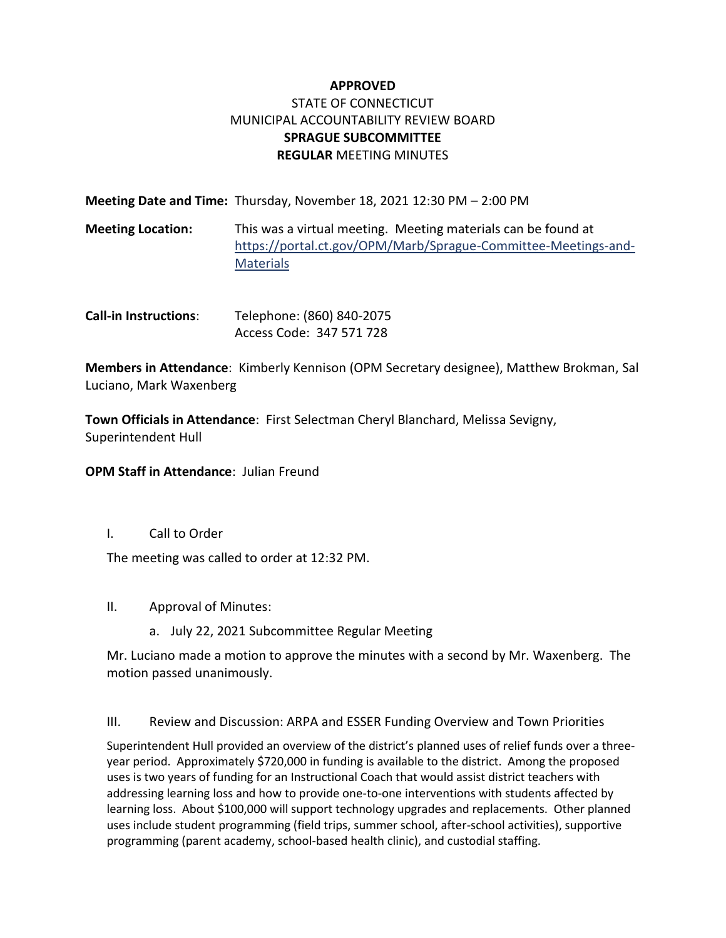# **APPROVED** STATE OF CONNECTICUT MUNICIPAL ACCOUNTABILITY REVIEW BOARD **SPRAGUE SUBCOMMITTEE REGULAR** MEETING MINUTES

|                          | Meeting Date and Time: Thursday, November 18, 2021 12:30 PM - 2:00 PM                                                                               |
|--------------------------|-----------------------------------------------------------------------------------------------------------------------------------------------------|
| <b>Meeting Location:</b> | This was a virtual meeting. Meeting materials can be found at<br>https://portal.ct.gov/OPM/Marb/Sprague-Committee-Meetings-and-<br><b>Materials</b> |

**Call-in Instructions**: Telephone: (860) 840-2075 Access Code: 347 571 728

**Members in Attendance**: Kimberly Kennison (OPM Secretary designee), Matthew Brokman, Sal Luciano, Mark Waxenberg

**Town Officials in Attendance**: First Selectman Cheryl Blanchard, Melissa Sevigny, Superintendent Hull

**OPM Staff in Attendance**: Julian Freund

I. Call to Order

The meeting was called to order at 12:32 PM.

- II. Approval of Minutes:
	- a. July 22, 2021 Subcommittee Regular Meeting

Mr. Luciano made a motion to approve the minutes with a second by Mr. Waxenberg. The motion passed unanimously.

III. Review and Discussion: ARPA and ESSER Funding Overview and Town Priorities

Superintendent Hull provided an overview of the district's planned uses of relief funds over a threeyear period. Approximately \$720,000 in funding is available to the district. Among the proposed uses is two years of funding for an Instructional Coach that would assist district teachers with addressing learning loss and how to provide one-to-one interventions with students affected by learning loss. About \$100,000 will support technology upgrades and replacements. Other planned uses include student programming (field trips, summer school, after-school activities), supportive programming (parent academy, school-based health clinic), and custodial staffing.